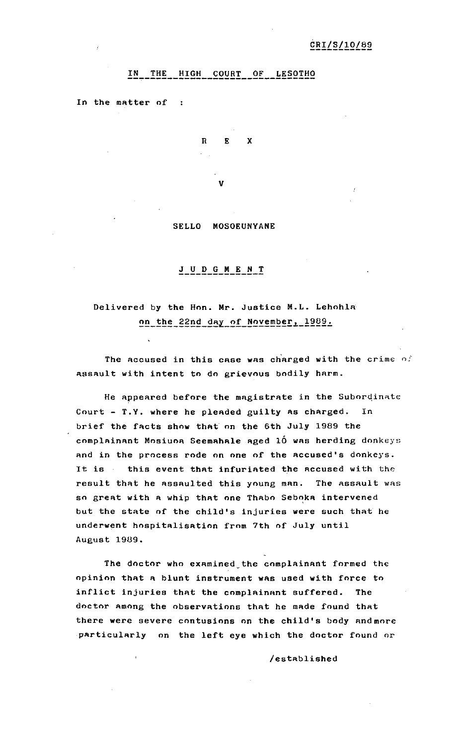## IN THE HIGH COURT OF LESOTHO

In the matter of :

 $R$   $R$  $\mathbf{Y}$ V

SELLO MOSOEUNYANE

## $J$   $U$   $D$   $G$   $M$   $E$   $N$   $T$

## Delivered by the Hon. Mr. Justice M.L. Lehohla on the 22nd day of November, 1989.

The accused in this case was charged with the crime of assault with intent to do grievous bodily harm.

He appeared before the magistrate in the Subordinate Court - T.Y. where he pleaded guilty as charged. In brief the facts show that on the 6th July 1989 the complainant Mosiuoa Seemahale aged 10 was herding donkeys and in the process rode on one of the accused's donkeys. It is this event that infuriated the accused with the result that he assaulted this young man. The assault was so great with a whip that one Thabo Seboka intervened but the state of the child's injuries were such that he underwent hospitalisation from 7th of July until August 1989.

The doctor who examined the complainant formed the opinion that a blunt instrument was used with force to inflict injuries that the complainant suffered. The doctor among the observations that he made found that there were severe contusions on the child's body and more particularly on the left eye which the doctor found or

/established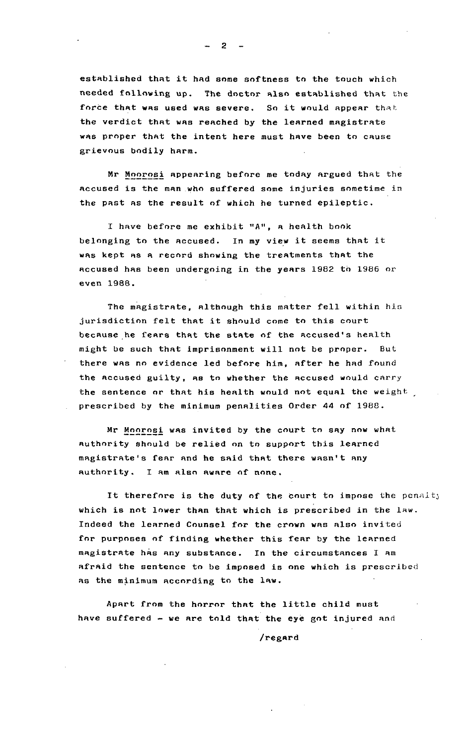established that it had some softness to the touch which needed following up. The doctor also established that the force that was used was severe. So it would appear that the verdict that was reached by the learned magistrate was proper that the intent here must have been to cause grievous bodily harm.

Mr Moorosi appearing before me today argued that the accused is the man who suffered some injuries sometime in the past as the result of which he turned epileptic.

I have before me exhibit "A", a health book belonging to the accused. In my view it seems that it was kept as a record showing the treatments that the accused has been undergoing in the years 1982 to 1986 or even 1988.

The magistrate, although this matter fell within his jurisdiction felt that it should come to this court because he fears that the state of the accused's health might be such that imprisonment will not be proper. But there was no evidence led before him, after he had found the accused guilty, as to whether the accused would carry the sentence or that his health would not equal the weight prescribed by the minimum penalities Order 44 of 1988.

Mr Moorosi was invited by the court to say now what authority should be relied on to support this learned magistrate's fear and he said that there wasn't any authority. I am also aware of none.

It therefore is the duty of the court to impose the penalty which is not lower than that which is prescribed in the law. Indeed the learned Counsel for the crown was also invited for purposes of finding whether this fear by the learned magistrate has any substance. In the circumstances I am afraid the sentence to be imposed is one which is prescribed as the minimum according to the law.

Apart from the horror that the little child must have suffered - we are told that the eye got injured and

/regard